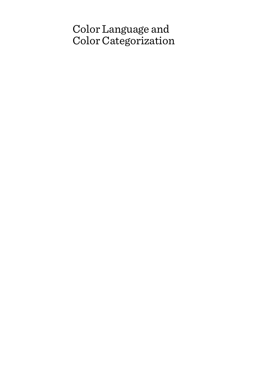# Color Language and Color Categorization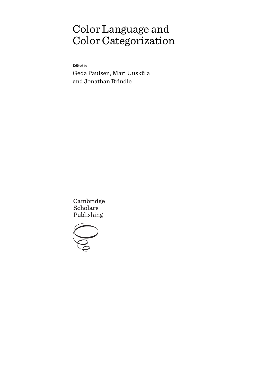# Color Language and Color Categorization

Edited by

Geda Paulsen, Mari Uusküla and Jonathan Brindle

Cambridge **Scholars** Publishing

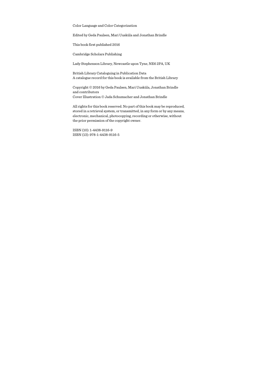Color Language and Color Categorization

Edited by Geda Paulsen, Mari Uusküla and Jonathan Brindle

This book first published 2016

Cambridge Scholars Publishing

Lady Stephenson Library, Newcastle upon Tyne, NE6 2PA, UK

British Library Cataloguing in Publication Data A catalogue record for this book is available from the British Library

Copyright © 2016 by Geda Paulsen, Mari Uusküla, Jonathan Brindle and contributors Cover Illustration © Jada Schumacher and Jonathan Brindle

All rights for this book reserved. No part of this book may be reproduced, stored in a retrieval system, or transmitted, in any form or by any means, electronic, mechanical, photocopying, recording or otherwise, without the prior permission of the copyright owner.

ISBN (10): 1-4438-9116-9 ISBN (13): 978-1-4438-9116-5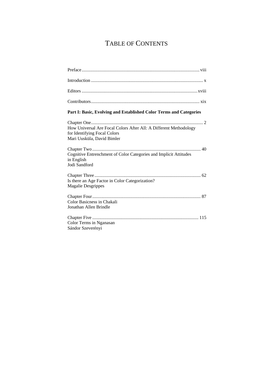# TABLE OF CONTENTS

| Part I: Basic, Evolving and Established Color Terms and Categories                                                              |
|---------------------------------------------------------------------------------------------------------------------------------|
| How Universal Are Focal Colors After All: A Different Methodology<br>for Identifying Focal Colors<br>Mari Uusküla, David Bimler |
| Cognitive Entrenchment of Color Categories and Implicit Attitudes<br>in English<br>Jodi Sandford                                |
| Is there an Age Factor in Color Categorization?<br><b>Magalie Desgrippes</b>                                                    |
| Color Basicness in Chakali<br>Jonathan Allen Brindle                                                                            |
| Color Terms in Nganasan<br>Sándor Szeverényi                                                                                    |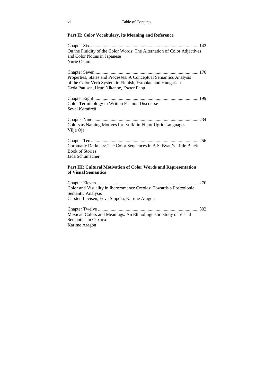### **Part II: Color Vocabulary, its Meaning and Reference**

| On the Fluidity of the Color Words: The Alternation of Color Adjectives<br>and Color Nouns in Japanese                                                                      |
|-----------------------------------------------------------------------------------------------------------------------------------------------------------------------------|
| Yurie Okami                                                                                                                                                                 |
| Properties, States and Processes: A Conceptual Semantics Analysis<br>of the Color Verb System in Finnish, Estonian and Hungarian<br>Geda Paulsen, Urpo Nikanne, Eszter Papp |
| Color Terminology in Written Fashion Discourse<br>Seval Kömürcü                                                                                                             |
| Colors as Naming Motives for 'yolk' in Finno-Ugric Languages<br>Vilja Oja                                                                                                   |
| Chromatic Darkness: The Color Sequences in A.S. Byatt's Little Black<br><b>Book of Stories</b><br>Jada Schumacher                                                           |
| Part III: Cultural Motivation of Color Words and Representation<br>of Visual Semantics                                                                                      |
|                                                                                                                                                                             |

Color and Visuality in Iberoromance Creoles: Towards a Postcolonial Semantic Analysis Carsten Levisen, Eeva Sippola, Karime Aragón Chapter Twelve ....................................................................................... 302 Mexican Colors and Meanings: An Ethnolinguistic Study of Visual Semantics in Oaxaca Karime Aragón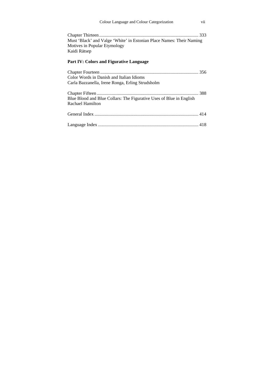| vii<br>Colour Language and Colour Categorization                                                                     |  |
|----------------------------------------------------------------------------------------------------------------------|--|
| Must 'Black' and Valge 'White' in Estonian Place Names: Their Naming<br>Motives in Popular Etymology<br>Kaidi Rätsep |  |
| <b>Part IV: Colors and Figurative Language</b>                                                                       |  |
| Color Words in Danish and Italian Idioms<br>Carla Bazzanella, Irene Ronga, Erling Strudsholm                         |  |
| Blue Blood and Blue Collars: The Figurative Uses of Blue in English<br>Rachael Hamilton                              |  |
|                                                                                                                      |  |
|                                                                                                                      |  |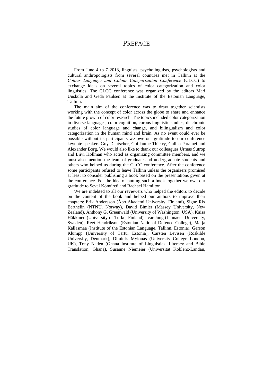### **PREFACE**

From June 4 to 7 2013, linguists, psycholinguists, psychologists and cultural anthropologists from several countries met in Tallinn at the *Colour Language and Colour Categorization Conference* (CLCC) to exchange ideas on several topics of color categorization and color linguistics. The CLCC conference was organized by the editors Mari Uusküla and Geda Paulsen at the Institute of the Estonian Language, Tallinn.

The main aim of the conference was to draw together scientists working with the concept of color across the globe to share and enhance the future growth of color research. The topics included color categorization in diverse languages, color cognition, corpus linguistic studies, diachronic studies of color language and change, and bilingualism and color categorization in the human mind and brain. As no event could ever be possible without its participants we owe our gratitude to our conference keynote speakers Guy Deutscher, Guillaume Thierry, Galina Paramei and Alexander Borg. We would also like to thank our colleagues Urmas Sutrop and Liivi Hollman who acted as organizing committee members, and we must also mention the team of graduate and undergraduate students and others who helped us during the CLCC conference. After the conference some participants refused to leave Tallinn unless the organizers promised at least to consider publishing a book based on the presentations given at the conference. For the idea of putting such a book together we owe our gratitude to Seval Kömürcü and Rachael Hamilton.

We are indebted to all our reviewers who helped the editors to decide on the content of the book and helped our authors to improve their chapters: Erik Andersson (Åbo Akademi University, Finland), Signe Rix Berthelin (NTNU, Norway), David Bimler (Massey University, New Zealand), Anthony G. Greenwald (University of Washington, USA), Kaisa Häkkinen (University of Turku, Finland), Ivar Jung (Linnaeus University, Sweden), Reet Hendrikson (Estonian National Defence College), Marja Kallasmaa (Institute of the Estonian Language, Tallinn, Estonia), Gerson Klumpp (University of Tartu, Estonia), Carsten Levisen (Roskilde University, Denmark), Dimitris Mylonas (University College London, UK), Tony Naden (Ghana Institute of Linguistics, Literacy and Bible Translation, Ghana), Susanne Niemeier (Universität Koblenz-Landau,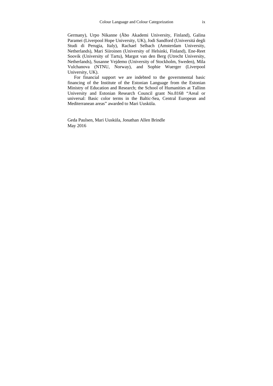Germany), Urpo Nikanne (Åbo Akademi University, Finland), Galina Paramei (Liverpool Hope University, UK), Jodi Sandford (Universitá degli Studi di Perugia, Italy), Rachael Selbach (Amsterdam University, Netherlands), Mari Siiroinen (University of Helsinki, Finland), Ene-Reet Soovik (University of Tartu), Margot van den Berg (Utrecht University, Netherlands), Susanne Vejdemo (University of Stockholm, Sweden), Mila Vulchanova (NTNU, Norway), and Sophie Wuerger (Liverpool University, UK).

For financial support we are indebted to the governmental basic financing of the Institute of the Estonian Language from the Estonian Ministry of Education and Research; the School of Humanities at Tallinn University and Estonian Research Council grant No.8168 "Areal or universal: Basic color terms in the Baltic-Sea, Central European and Mediterranean areas" awarded to Mari Uusküla.

Geda Paulsen, Mari Uusküla, Jonathan Allen Brindle May 2016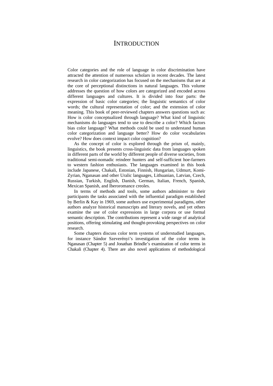### **INTRODUCTION**

Color categories and the role of language in color discrimination have attracted the attention of numerous scholars in recent decades. The latest research in color categorization has focused on the mechanisms that are at the core of perceptional distinctions in natural languages. This volume addresses the question of how colors are categorized and encoded across different languages and cultures. It is divided into four parts: the expression of basic color categories; the linguistic semantics of color words; the cultural representation of color; and the extension of color meaning. This book of peer-reviewed chapters answers questions such as: How is color conceptualized through language? What kind of linguistic mechanisms do languages tend to use to describe a color? Which factors bias color language? What methods could be used to understand human color categorization and language better? How do color vocabularies evolve? How does context impact color cognition?

As the concept of color is explored through the prism of, mainly, linguistics, the book presents cross-linguistic data from languages spoken in different parts of the world by different people of diverse societies, from traditional semi-nomadic reindeer hunters and self-sufficient hoe-farmers to western fashion enthusiasts. The languages examined in this book include Japanese, Chakali, Estonian, Finnish, Hungarian, Udmurt, Komi-Zyrian, Nganasan and other Uralic languages, Lithuanian, Latvian, Czech, Russian, Turkish, English, Danish, German, Italian, French, Spanish, Mexican Spanish, and Iberoromance creoles.

In terms of methods and tools, some authors administer to their participants the tasks associated with the influential paradigm established by Berlin & Kay in 1969, some authors use experimental paradigms, other authors analyze historical manuscripts and literary novels, and yet others examine the use of color expressions in large corpora or use formal semantic description. The contributions represent a wide range of analytical positions, offering stimulating and thought-provoking perspectives on color research.

Some chapters discuss color term systems of understudied languages, for instance Sándor Szeverényi's investigation of the color terms in Nganasan (Chapter 5) and Jonathan Brindle's examination of color terms in Chakali (Chapter 4). There are also novel applications of methodological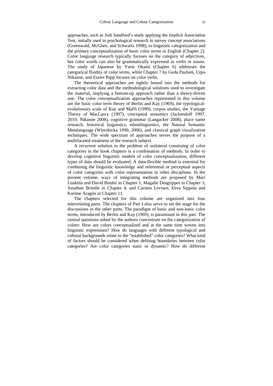approaches, such as Jodi Sandford's study applying the Implicit Association Test, initially used in psychological research to survey concept associations (Greenwald, McGhee, and Schwartz 1998), to linguistic categorization and the primary conceptualization of basic color terms in English (Chapter 2). Color language research typically focuses on the category of adjectives, but color words can also be grammatically expressed as verbs or nouns. The study of Japanese by Yurie Okami (Chapter 6) addresses the categorical fluidity of color terms, while Chapter 7 by Geda Paulsen, Urpo Nikanne, and Eszter Papp focuses on color verbs.

The theoretical approaches are tightly bound into the methods for extracting color data and the methodological solutions used to investigate the material, implying a bottom-up approach rather than a theory-driven one. The color conceptualization approaches represented in this volume are the basic color term theory of Berlin and Kay (1969), the typologicalevolutionary scale of Kay and Maffi (1999), corpus studies, the Vantage Theory of MacLaury (1997), conceptual semantics (Jackendoff 1997, 2010; Nikanne 2008), cognitive grammar (Langacker 2008), place name research, historical linguistics, ethnolinguistics, the Natural Semantic Metalanguage (Wierzbicka 1990, 2006), and classical graph visualization techniques. The wide spectrum of approaches serves the purpose of a multifaceted treatment of the research subject.

A recurrent solution to the problem of unilateral construing of color categories in the book chapters is a combination of methods. In order to develop cognitive linguistic models of color conceptualization, different types of data should be evaluated. A data-flexible method is essential for combining the linguistic knowledge and referential or perceptual aspects of color categories with color representation in other disciplines. In the present volume, ways of integrating methods are proposed by Mari Uusküla and David Bimler in Chapter 1, Magalie Desgrippes in Chapter 3, Jonathan Brindle in Chapter 4, and Carsten Levisen, Eeva Sippola and Karime Aragón in Chapter 11.

The chapters selected for this volume are organized into four interrelating parts. The chapters of Part I also serve to set the stage for the discussions in the other parts. The paradigm of basic and non-basic color terms, introduced by Berlin and Kay (1969), is paramount in this part. The central questions asked by the authors concentrate on the categorization of colors: How are colors conceptualized and at the same time woven into linguistic expressions? How do languages with different typological and cultural backgrounds relate to the "established" color categories? What kind of factors should be considered when defining boundaries between color categories? Are color categories static or dynamic? How do different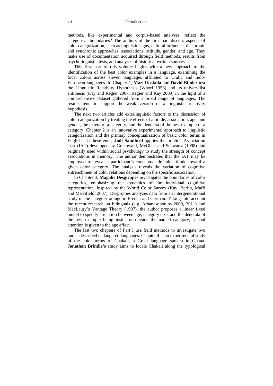#### xii Introduction

methods, like experimental and corpus-based analyses, reflect the categorical boundaries? The authors of the first part discuss aspects of color categorization, such as linguistic signs, cultural influence, diachronic and synchronic approaches, associations, attitude, gender, and age. They make use of documentation acquired through field methods, results from psycholinguistic tests, and analyses of historical written sources.

This first part of this volume begins with a new approach to the identification of the best color examples in a language, examining the focal colors across eleven languages affiliated to Uralic and Indo-European languages. In Chapter 1, **Mari Uusküla** and **David Bimler** test the Linguistic Relativity Hypothesis (Whorf 1956) and its universalist antithesis (Kay and Regier 2007, Regier and Kay 2009) in the light of a comprehensive dataset gathered from a broad range of languages. The results tend to support the weak version of a linguistic relativity hypothesis.

The next two articles add extralinguistic factors to the discussion of color categorization by treating the effects of attitude, association, age, and gender, the extent of a category, and the denotata of the best example of a category. Chapter 2 is an innovative experimental approach to linguistic categorization and the primary conceptualization of basic color terms in English. To these ends, **Jodi Sandford** applies the Implicit Association Test (IAT) developed by Greenwald, McGhee and Schwartz (1998) and originally used within social psychology to study the strength of concept associations in memory. The author demonstrates that the IAT may be employed to reveal a participant's conceptual default attitude toward a given color category. The analysis reveals the variation of cognitive entrenchment of color relations depending on the specific association.

In Chapter 3, **Magalie Desgrippes** investigates the boundaries of color categories, emphasizing the dynamics of the individual cognitive representation. Inspired by the World Color Survey (Kay, Berlin, Maffi and Merrifield, 2007), Desgrippes analyzes data from an intergenerational study of the category orange in French and German. Taking into account the recent research on bilinguals (e.g. Athanasopoulos 2009, 2011) and MacLaury's Vantage Theory (1997), the author proposes a linear fixed model to specify a relation between age, category size, and the denotata of the best example being inside or outside the named category, special attention is given to the age effect.

The last two chapters of Part I use field methods to investigate two under-described endangered languages. Chapter 4 is an experimental study of the color terms of Chakali, a Grusi language spoken in Ghana. **Jonathan Brindle's** study aims to locate Chakali along the typological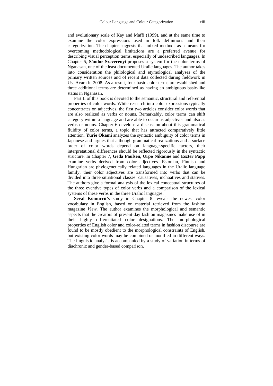and evolutionary scale of Kay and Maffi (1999), and at the same time to examine the color expressions used in folk definitions and their categorization. The chapter suggests that mixed methods as a means for overcoming methodological limitations are a preferred avenue for describing visual perception terms, especially of undescribed languages. In Chapter 5, **Sándor Szeverényi** proposes a system for the color terms of Nganasan, one of the least documented Uralic languages. The author takes into consideration the philological and etymological analyses of the primary written sources and of recent data collected during fieldwork in Ust-Avam in 2008. As a result, four basic color terms are established and three additional terms are determined as having an ambiguous basic-like status in Nganasan.

Part II of this book is devoted to the semantic, structural and referential properties of color words. While research into color expressions typically concentrates on adjectives, the first two articles consider color words that are also realized as verbs or nouns. Remarkably, color terms can shift category within a language and are able to occur as adjectives and also as verbs or nouns. Chapter 6 develops a discussion about this grammatical fluidity of color terms, a topic that has attracted comparatively little attention. **Yurie Okami** analyzes the syntactic ambiguity of color terms in Japanese and argues that although grammatical realizations and a surface order of color words depend on language-specific factors, their interpretational differences should be reflected rigorously in the syntactic structure. In Chapter 7, **Geda Paulsen, Urpo Nikanne** and **Eszter Papp** examine verbs derived from color adjectives. Estonian, Finnish and Hungarian are phylogenetically related languages in the Uralic language family; their color adjectives are transformed into verbs that can be divided into three situational classes: causatives, inchoatives and statives. The authors give a formal analysis of the lexical conceptual structures of the three eventive types of color verbs and a comparison of the lexical systems of these verbs in the three Uralic languages.

**Seval Kömürcü's** study in Chapter 8 reveals the newest color vocabulary in English, based on material retrieved from the fashion magazine *View*. The author examines the morphological and semantic aspects that the creators of present-day fashion magazines make use of in their highly differentiated color designations. The morphological properties of English color and color-related terms in fashion discourse are found to be mostly obedient to the morphological constraints of English, but existing color words may be combined or modified in different ways. The linguistic analysis is accompanied by a study of variation in terms of diachronic and gender-based comparison.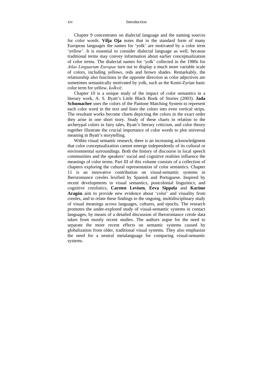Chapter 9 concentrates on dialectal language and the naming sources for color words. **Vilja Oja** notes that in the standard form of many European languages the names for 'yolk' are motivated by a color term 'yellow'. It is essential to consider dialectal language as well, because traditional terms may convey information about earlier conceptualization of color terms. The dialectal names for 'yolk' collected in the 1980s for *Atlas Linguarum Europae* turn out to display a much more variable scale of colors, including yellows, reds and brown shades. Remarkably, the relationship also functions in the opposite direction as color adjectives are sometimes semantically motivated by yolk, such as the Komi-Zyrian basic color term for yellow, *koĺkviž*.

Chapter 10 is a unique study of the impact of color semantics in a literary work, A. S. Byatt's Little Black Book of Stories (2003). **Jada Schumacher** uses the colors of the Pantone Matching System to represent each color word in the text and lines the colors into even vertical strips. The resultant works become charts depicting the colors in the exact order they arise in one short story. Study of these charts in relation to the archetypal colors in fairy tales, Byatt's literary criticism, and color theory together illustrate the crucial importance of color words to plot universal meaning in Byatt's storytelling.

Within visual semantic research, there is an increasing acknowledgment that color conceptualization cannot emerge independently of its cultural or environmental surroundings. Both the history of discourse in local speech communities and the speakers' social and cognitive realities influence the meanings of color terms. Part III of this volume consists of a collection of chapters exploring the cultural representation of color semantics. Chapter 11 is an innovative contribution on visual-semantic systems in Iberoromance creoles lexified by Spanish and Portuguese. Inspired by recent developments in visual semantics, postcolonial linguistics, and cognitive creolistics, **Carsten Levisen**, **Eeva Sippola** and **Karime Aragón** aim to provide new evidence about 'color' and visuality from creoles, and to relate these findings to the ongoing, multidisciplinary study of visual meanings across languages, cultures, and epochs. The research promotes the under-explored study of visual-semantic systems in contact languages, by means of a detailed discussion of Iberoromance creole data taken from mostly recent studies. The authors argue for the need to separate the more recent effects on semantic systems caused by globalization from older, traditional visual systems. They also emphasize the need for a neutral metalanguage for comparing visual-semantic systems.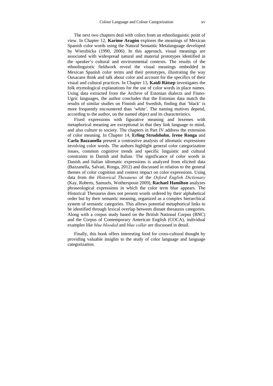The next two chapters deal with colors from an ethnolinguistic point of view. In Chapter 12, **Karime Aragón** explores the meanings of Mexican Spanish color words using the Natural Semantic Metalanguage developed by Wierzbicka (1990, 2006). In this approach, visual meanings are associated with widespread natural and material prototypes identified in the speaker's cultural and environmental contexts. The results of the ethnolinguistic fieldwork reveal the visual meanings embedded in Mexican Spanish color terms and their prototypes, illustrating the way Oaxacans think and talk about color and account for the specifics of their visual and cultural practices. In Chapter 13, **Kaidi Rätsep** investigates the folk etymological explanations for the use of color words in place names. Using data extracted from the Archive of Estonian dialects and Finno-Ugric languages, the author concludes that the Estonian data match the results of similar studies on Finnish and Swedish, finding that 'black' is more frequently encountered than 'white'. The naming motives depend, according to the author, on the named object and its characteristics.

Fixed expressions with figurative meaning and lexemes with metaphorical meaning are exceptional in that they link language to mind, and also culture to society. The chapters in Part IV address the extension of color meaning. In Chapter 14, **Erling Strudsholm**, **Irene Ronga** and **Carla Bazzanella** present a contrastive analysis of idiomatic expressions involving color words. The authors highlight general color categorization issues, common cognitive trends and specific linguistic and cultural constraints in Danish and Italian. The significance of color words in Danish and Italian idiomatic expressions is analyzed from elicited data (Bazzanella, Salvati, Ronga, 2012) and discussed in relation to the general themes of color cognition and context impact on color expressions. Using data from the *Historical Thesaurus* of the *Oxford English Dictionary* (Kay, Roberts, Samuels, Wotherspoon 2009), **Rachael Hamilton** analyzes phraseological expressions in which the color term blue appears. The Historical Thesaurus does not present words ordered by their alphabetical order but by their semantic meaning, organized as a complex hierarchical system of semantic categories. This allows potential metaphorical links to be identified through lexical overlap between distant thesaurus categories. Along with a corpus study based on the British National Corpus (BNC) and the Corpus of Contemporary American English (COCA), individual examples like *blue blooded* and *blue collar* are discussed in detail.

Finally, this book offers interesting food for cross-cultural thought by providing valuable insights to the study of color language and language categorization.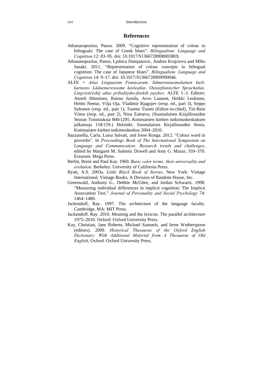### **References**

- Athanasopoulos, Panos. 2009. "Cognitive representation of colour in bilinguals: The case of Greek blues". *Bilingualism: Language and Cognition* 12: 83–95. doi: 10.1017/S136672890800388X.
- Athanasopoulos, Panos, Ljubica Damjanovic, Andrea Krajciova and Miho Sasaki. 2011. "Representation of colour concepts in bilingual cognition: The case of Japanese blues". *Bilingualism: Language and Cognition* 14: 9–17. doi: 10.1017/S1366728909990046.
- ALFE = *Atlas Linguarum Fennicarum. Itämerensuomalainen kielikartasto. Läänemeresoome keeleatlas. Ostseefinnischer Sprachatlas. Lingvističeskij atlas pribaltijsko-finskih jazykov.* ALFE 1–3. Editors: Anneli Hänninen, Raimo Jussila, Arvo Laanest, Heikki Leskinen, Helmi Neetar, Vilja Oja, Vladimir Rjagojev (resp. ed., part 3), Seppo Suhonen (resp. ed., part 1), Tuomo Tuomi (Editor-in-chief), Tiit-Rein Viitso (resp. ed., part 2), Nina Zaitseva. (Suomalaisen Kirjallisuuden Seuran Toimituksia 800/1295. Kotimaisten kielten tutkimuskeskuksen julkaisuja 118/159.) Helsinki: Suomalaisen Kirjallisuuden Seura, Kotimaisten kielten tutkimuskeskus 2004–2010.
- Bazzanella, Carla, Luisa Salvati, and Irene Ronga. 2012. "Colour word in proverbs". In *Proceedings Book of The International Symposium on Language and Communication: Research trends and challenges*, edited by Margaret M. Sulentic Dowell and Amy G. Mazur, 359–370. Erzurum: Mega Press.
- Berlin, Brent and Paul Kay. 1969. *Basic color terms: their universality and evolution*. Berkeley: University of California Press.
- Byatt, A.S. 2003a. *Little Black Book of Stories*. New York: Vintage International, Vintage Books, A Division of Random House, Inc.
- Greenwald, Anthony G., Debbie McGhee, and Jordan Schwartz. 1998. "Measuring individual differences in implicit cognition: The Implicit Association Test." *Journal of Personality and Social Psychology* 74: 1464–1480.
- Jackendoff, Ray. 1997. The architecture of the language faculty. Cambridge, MA: MIT Press.
- Jackendoff, Ray. 2010. Meaning and the lexicon. The parallel architecture 1975–2010. Oxford: Oxford University Press.
- Kay, Christian, Jane Roberts, Michael Samuels, and Irene Wotherspoon (editors). 2009. *Historical Thesaurus of the Oxford English Dictionary: With Additional Material from A Thesaurus of Old English*, Oxford: Oxford University Press.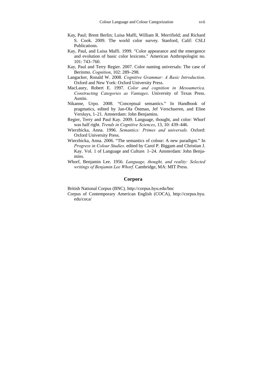- Kay, Paul; Brent Berlin; Luisa Maffi, William R. Merrifield; and Richard S. Cook. 2009. The world color survey. Stanford, Calif: CSLI Publications.
- Kay, Paul, and Luisa Maffi. 1999. "Color appearance and the emergence and evolution of basic color lexicons." American Anthropologist no. 101: 743–760.
- Kay, Paul and Terry Regier. 2007. Color naming universals: The case of Berinmo. *Cognition*, 102: 289–298.
- Langacker, Ronald W. 2008. *Cognitive Grammar: A Basic Introduction*. Oxford and New York: Oxford University Press.
- MacLaury, Robert E. 1997. *Color and cognition in Mesoamerica. Constructing Categories as Vantages*. University of Texas Press. Austin.
- Nikanne, Urpo. 2008. "Conceptual semantics." In Handbook of pragmatics, edited by Jan-Ola Östman, Jef Verschueren, and Eline Versluys, 1–21. Amsterdam: John Benjamins.
- Regier, Terry and Paul Kay. 2009. Language, thought, and color: Whorf was half right. *Trends in Cognitive Sciences*, 13, 10: 439–446.
- Wierzbicka, Anna. 1996. *Semantics: Primes and universals.* Oxford: Oxford University Press.
- Wierzbicka, Anna. 2006. "The semantics of colour: A new paradigm." In *Progress in Colour Studies*. edited by Carol P. Biggam and Christian J. Kay. Vol. 1 of Language and Culture*.* 1–24. Amsterdam: John Benjamins.
- Whorf, Benjamin Lee. 1956. *Language, thought, and reality: Selected writings of Benjamin Lee Whorf*. Cambridge, MA: MIT Press.

#### **Corpora**

British National Corpus (BNC)*,* http://corpus.byu.edu/bnc

Corpus of Contemporary American English (COCA), http://corpus.byu. edu/coca/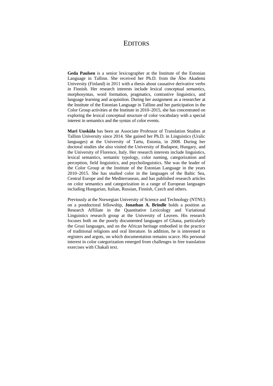### **EDITORS**

**Geda Paulsen** is a senior lexicographer at the Institute of the Estonian Language in Tallinn. She received her Ph.D. from the Åbo Akademi University (Finland) in 2011 with a thesis about causative derivative verbs in Finnish. Her research interests include lexical conceptual semantics, morphosyntax, word formation, pragmatics, contrastive linguistics, and language learning and acquisition. During her assignment as a researcher at the Institute of the Estonian Language in Tallinn and her participation in the Color Group activities at the Institute in 2010–2015, she has concentrated on exploring the lexical conceptual structure of color vocabulary with a special interest in semantics and the syntax of color events.

**Mari Uusküla** has been an Associate Professor of Translation Studies at Tallinn University since 2014. She gained her Ph.D. in Linguistics (Uralic languages) at the University of Tartu, Estonia, in 2008. During her doctoral studies she also visited the University of Budapest, Hungary, and the University of Florence, Italy. Her research interests include linguistics, lexical semantics, semantic typology, color naming, categorization and perception, field linguistics, and psycholinguistics. She was the leader of the Color Group at the Institute of the Estonian Language in the years 2010–2015. She has studied color in the languages of the Baltic Sea, Central Europe and the Mediterranean, and has published research articles on color semantics and categorization in a range of European languages including Hungarian, Italian, Russian, Finnish, Czech and others.

Previously at the Norwegian University of Science and Technology (NTNU) on a postdoctoral fellowship, **Jonathan A. Brindle** holds a position as Research Affiliate in the Quantitative Lexicology and Variational Linguistics research group at the University of Leuven. His research focuses both on the poorly documented languages of Ghana, particularly the Grusi languages, and on the African heritage embodied in the practice of traditional religions and oral literature. In addition, he is interested in registers and argots, on which documentation remains scarce. His personal interest in color categorization emerged from challenges in free translation exercises with Chakali text.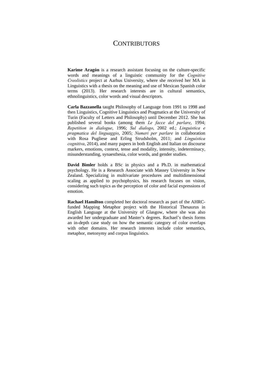## **CONTRIBUTORS**

**Karime Aragón** is a research assistant focusing on the culture-specific words and meanings of a linguistic community for the *Cognitive Creolistics* project at Aarhus University, where she received her MA in Linguistics with a thesis on the meaning and use of Mexican Spanish color terms (2013). Her research interests are in cultural semantics, ethnolinguistics, color words and visual descriptors.

**Carla Bazzanella** taught Philosophy of Language from 1991 to 1998 and then Linguistics, Cognitive Linguistics and Pragmatics at the University of Turin (Faculty of Letters and Philosophy) until December 2012. She has published several books (among them *Le facce del parlare*, 1994; *Repetition in dialogue*, 1996; *Sul dialogo*, 2002 ed.; *Linguistica e pragmatica del linguaggio*, 2005; *Numeri per parlare* in collaboration with Rosa Pugliese and Erling Strudsholm, 2011; and *Linguistica cognitiva*, 2014), and many papers in both English and Italian on discourse markers, emotions, context, tense and modality, intensity, indeterminacy, misunderstanding, synaesthesia, color words, and gender studies.

**David Bimler** holds a BSc in physics and a Ph.D. in mathematical psychology. He is a Research Associate with Massey University in New Zealand. Specializing in multivariate procedures and multidimensional scaling as applied to psychophysics, his research focuses on vision, considering such topics as the perception of color and facial expressions of emotion.

**Rachael Hamilton** completed her doctoral research as part of the AHRCfunded Mapping Metaphor project with the Historical Thesaurus in English Language at the University of Glasgow, where she was also awarded her undergraduate and Master's degrees. Rachael's thesis forms an in-depth case study on how the semantic category of color overlaps with other domains. Her research interests include color semantics, metaphor, metonymy and corpus linguistics.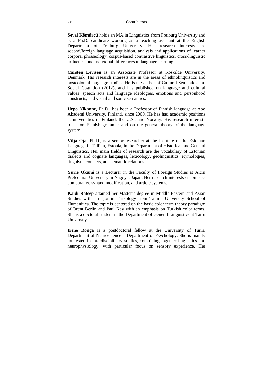**Seval Kömürcü** holds an MA in Linguistics from Freiburg University and is a Ph.D. candidate working as a teaching assistant at the English Department of Freiburg University. Her research interests are second/foreign language acquisition, analysis and applications of learner corpora, phraseology, corpus-based contrastive linguistics, cross-linguistic influence, and individual differences in language learning.

**Carsten Levisen** is an Associate Professor at Roskilde University, Denmark. His research interests are in the areas of ethnolinguistics and postcolonial language studies. He is the author of Cultural Semantics and Social Cognition (2012), and has published on language and cultural values, speech acts and language ideologies, emotions and personhood constructs, and visual and sonic semantics.

**Urpo Nikanne,** Ph.D., has been a Professor of Finnish language at Åbo Akademi University, Finland, since 2000. He has had academic positions at universities in Finland, the U.S., and Norway. His research interests focus on Finnish grammar and on the general theory of the language system.

**Vilja Oja**, Ph.D., is a senior researcher at the Institute of the Estonian Language in Tallinn, Estonia, in the Department of Historical and General Linguistics. Her main fields of research are the vocabulary of Estonian dialects and cognate languages, lexicology, geolinguistics, etymologies, linguistic contacts, and semantic relations.

**Yurie Okami** is a Lecturer in the Faculty of Foreign Studies at Aichi Prefectural University in Nagoya, Japan. Her research interests encompass comparative syntax, modification, and article systems.

**Kaidi Rätsep** attained her Master's degree in Middle-Eastern and Asian Studies with a major in Turkology from Tallinn University School of Humanities. The topic is centered on the basic color term theory paradigm of Brent Berlin and Paul Kay with an emphasis on Turkish color terms. She is a doctoral student in the Department of General Linguistics at Tartu University.

**Irene Ronga** is a postdoctoral fellow at the University of Turin, Department of Neuroscience – Department of Psychology. She is mainly interested in interdisciplinary studies, combining together linguistics and neurophysiology, with particular focus on sensory experience. Her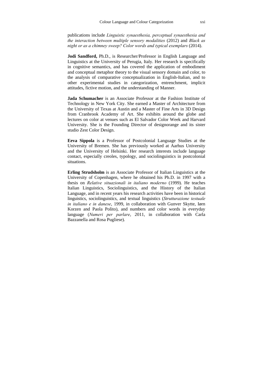publications include *Linguistic synaesthesia, perceptual synaesthesia and the interaction between multiple sensory modalities* (2012) and *Black as night or as a chimney sweep? Color words and typical exemplars* (2014).

**Jodi Sandford,** Ph.D., is Researcher/Professor in English Language and Linguistics at the University of Perugia, Italy. Her research is specifically in cognitive semantics, and has covered the application of embodiment and conceptual metaphor theory to the visual sensory domain and color, to the analysis of comparative conceptualization in English-Italian, and to other experimental studies in categorization, entrenchment, implicit attitudes, fictive motion, and the understanding of Manner.

**Jada Schumacher** is an Associate Professor at the Fashion Institute of Technology in New York City. She earned a Master of Architecture from the University of Texas at Austin and a Master of Fine Arts in 3D Design from Cranbrook Academy of Art. She exhibits around the globe and lectures on color at venues such as El Salvador Color Week and Harvard University. She is the Founding Director of designorange and its sister studio Zest Color Design.

**Eeva Sippola** is a Professor of Postcolonial Language Studies at the University of Bremen. She has previously worked at Aarhus University and the University of Helsinki. Her research interests include language contact, especially creoles, typology, and sociolinguistics in postcolonial situations.

**Erling Strudsholm** is an Associate Professor of Italian Linguistics at the University of Copenhagen, where he obtained his Ph.D. in 1997 with a thesis on *Relative situazionali in italiano moderno* (1999). He teaches Italian Linguistics, Sociolinguistics, and the History of the Italian Language, and in recent years his research activities have been in historical linguistics, sociolinguistics, and textual linguistics (*Strutturazione testuale in italiano e in danese*, 1999, in collaboration with Gunver Skytte, Iørn Korzen and Paola Polito), and numbers and color words in everyday language (*Numeri per parlare*, 2011, in collaboration with Carla Bazzanella and Rosa Pugliese).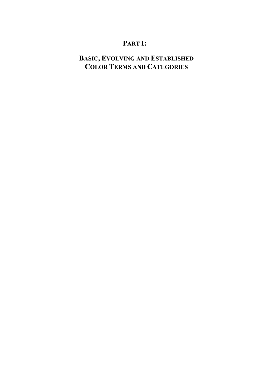# **PART I:**

# **BASIC, EVOLVING AND ESTABLISHED COLOR TERMS AND CATEGORIES**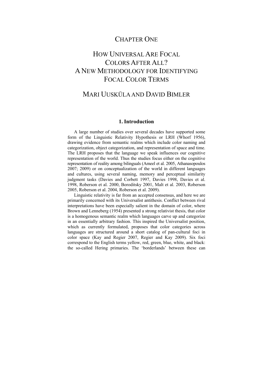### CHAPTER ONE

# HOW UNIVERSAL ARE FOCAL COLORS AFTER ALL? A NEW METHODOLOGY FOR IDENTIFYING FOCAL COLOR TERMS

## MARI UUSKÜLA AND DAVID BIMLER

### **1. Introduction**

A large number of studies over several decades have supported some form of the Linguistic Relativity Hypothesis or LRH (Whorf 1956), drawing evidence from semantic realms which include color naming and categorization, object categorization, and representation of space and time. The LRH proposes that the language we speak influences our cognitive representation of the world. Thus the studies focus either on the cognitive representation of reality among bilinguals (Ameel et al. 2005, Athanasopoulos 2007; 2009) or on conceptualization of the world in different languages and cultures, using several naming, memory and perceptual similarity judgment tasks (Davies and Corbett 1997, Davies 1998, Davies et al. 1998, Roberson et al. 2000, Boroditsky 2001, Malt et al. 2003, Roberson 2005, Roberson et al. 2004, Roberson et al. 2009).

Linguistic relativity is far from an accepted consensus, and here we are primarily concerned with its Universalist antithesis. Conflict between rival interpretations have been especially salient in the domain of color, where Brown and Lenneberg (1954) presented a strong relativist thesis, that color is a homogenous semantic realm which languages carve up and categorize in an essentially arbitrary fashion. This inspired the Universalist position, which as currently formulated, proposes that color categories across languages are structured around a short catalog of pan-cultural foci in color space (Kay and Regier 2007, Regier and Kay 2009). Six foci correspond to the English terms yellow, red, green, blue, white, and black: the so-called Hering primaries. The 'borderlands' between these can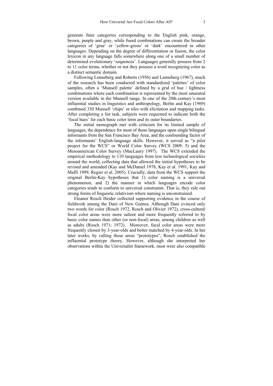generate finer categories corresponding to the English pink, orange, brown, purple and gray, while fused combinations can create the broader categories of 'grue' or 'yellow-green' or 'dark' encountered in other languages. Depending on the degree of differentiation or fusion, the color lexicon in any language falls somewhere along one of a small number of determined evolutionary 'sequences'. Languages generally possess from 2 to 11 color terms, whether or not they possess a word recognizing color as a distinct semantic domain.

Following Lenneberg and Roberts (1956) and Lenneberg (1967), much of the research has been conducted with standardized 'palettes' of color samples, often a 'Munsell palette' defined by a grid of hue / lightness combinations where each combination is represented by the most saturated version available in the Munsell range. In one of the 20th century's most influential studies in linguistics and anthropology, Berlin and Kay (1969) combined 330 Munsell 'chips' or tiles with elicitation and mapping tasks. After completing a list task, subjects were requested to indicate both the 'focal hues' for each basic color term and its outer boundaries.

The initial monograph met with criticism for its limited sample of languages, the dependence for most of those languages upon single bilingual informants from the San Francisco Bay Area, and the confounding factor of the informants' English-language skills. However, it served as "a pilot project for the WCS" or World Color Survey (WCS 2009: 5) and the Mesoamerican Color Survey (MacLaury 1997). The WCS extended the empirical methodology to 110 languages from less technological societies around the world, collecting data that allowed the initial hypotheses to be revised and amended (Kay and McDaniel 1978, Kay et al. 1991, Kay and Maffi 1999, Regier et al. 2005). Crucially, data from the WCS support the original Berlin-Kay hypotheses that 1) color naming is a universal phenomenon, and 2) the manner in which languages encode color categories tends to conform to universal constraints. That is, they rule out strong forms of linguistic relativism where naming is unconstrained.

Eleanor Rosch Heider collected supporting evidence in the course of fieldwork among the Dani of New Guinea. Although Dani evinced only two words for color (Rosch 1972, Rosch and Olivier 1972), cross-cultural focal color areas were more salient and more frequently referred to by basic color names than other (or non-focal) areas, among children as well as adults (Rosch 1971; 1972). Moreover, focal color areas were more frequently chosen by 3-year-olds and better matched by 4-year-olds. In her later works, by calling these areas "prototypes", Rosch established the influential prototype theory. However, although she interpreted her observations within the Universalist framework, most were also compatible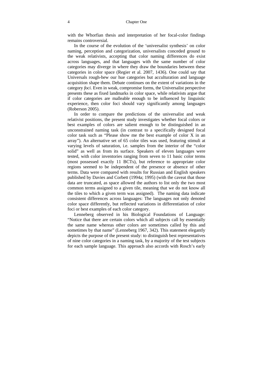with the Whorfian thesis and interpretation of her focal-color findings remains controversial.

In the course of the evolution of the 'universalist synthesis' on color naming, perception and categorization, universalists conceded ground to the weak relativists, accepting that color naming differences do exist across languages, and that languages with the same number of color categories may diverge in where they draw the boundaries between these categories in color space (Regier et al. 2007, 1436). One could say that Universals rough-hew our hue categories but acculturation and language acquisition shape them. Debate continues on the extent of variations in the category *foci*. Even in weak, compromise forms, the Universalist perspective presents these as fixed landmarks in color space, while relativists argue that if color categories are malleable enough to be influenced by linguistic experience, then color foci should vary significantly among languages (Roberson 2005).

In order to compare the predictions of the universalist and weak relativist positions, the present study investigates whether focal colors or best examples of colors are salient enough to be distinguished in an unconstrained naming task (in contrast to a specifically designed focal color task such as "Please show me the best example of color X in an array"). An alternative set of 65 color tiles was used, featuring stimuli at varying levels of saturation, i.e. samples from the interior of the "color solid" as well as from its surface. Speakers of eleven languages were tested, with color inventories ranging from seven to 11 basic color terms (most possessed exactly 11 BCTs), but reference to appropriate color regions seemed to be independent of the presence or absence of other terms. Data were compared with results for Russian and English speakers published by Davies and Corbett (1994a; 1995) (with the caveat that those data are truncated, as space allowed the authors to list only the two most common terms assigned to a given tile, meaning that we do not know all the tiles to which a given term was assigned). The naming data indicate consistent differences across languages: The languages not only denoted color space differently, but reflected variations in differentiation of color foci or best examples of each color category.

Lenneberg observed in his Biological Foundations of Language: "Notice that there are certain colors which all subjects call by essentially the same name whereas other colors are sometimes called by this and sometimes by that name" (Lenneberg 1967, 342). This statement elegantly depicts the purpose of the present study: to distinguish best representatives of nine color categories in a naming task, by a majority of the test subjects for each sample language. This approach also accords with Rosch's early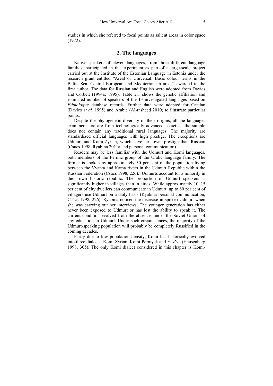studies in which she referred to focal points as salient areas in color space (1972).

### **2. The languages**

Native speakers of eleven languages, from three different language families, participated in the experiment as part of a large-scale project carried out at the Institute of the Estonian Language in Estonia under the research grant entitled "Areal or Universal: Basic colour terms in the Baltic Sea, Central European and Mediterranean areas" awarded to the first author. The data for Russian and English were adopted from Davies and Corbett (1994a; 1995). Table 2.1 shows the genetic affiliation and estimated number of speakers of the 13 investigated languages based on *Ethnologue* database records. Further data were adapted for Catalan (Davies *et al.* 1995) and Arabic (Al-rasheed 2010) to illustrate particular points.

Despite the phylogenetic diversity of their origins, all the languages examined here are from technologically advanced societies: the sample does not contain any traditional rural languages. The majority are standardized official languages with high prestige. The exceptions are Udmurt and Komi-Zyrian, which have far lower prestige than Russian (Csúcs 1998, Ryabina 2011a and personal communication).

Readers may be less familiar with the Udmurt and Komi languages, both members of the Permic group of the Uralic language family. The former is spoken by approximately 30 per cent of the population living between the Vyatka and Kama rivers in the Udmurt Republic within the Russian Federation (Csúcs 1998, 226). Udmurts account for a minority in their own historic republic. The proportion of Udmurt speakers is significantly higher in villages than in cities: While approximately 10–15 per cent of city dwellers can communicate in Udmurt, up to 80 per cent of villagers use Udmurt on a daily basis (Ryabina personal communication, Csúcs 1998, 226). Ryabina noticed the decrease in spoken Udmurt when she was carrying out her interviews. The younger generation has either never been exposed to Udmurt or has lost the ability to speak it. The current condition evolved from the absence, under the Soviet Union, of any education in Udmurt. Under such circumstances, the majority of the Udmurt-speaking population will probably be completely Russified in the coming decades.

Partly due to low population density, Komi has historically evolved into three dialects: Komi-Zyrian, Komi-Permyak and Yaz'va (Hausenberg 1998, 305). The only Komi dialect considered in this chapter is Komi-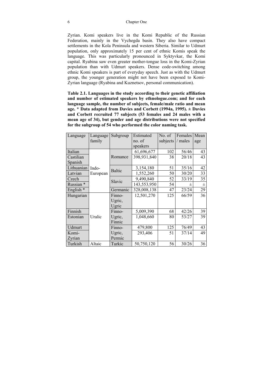#### 6 Chapter One

Zyrian. Komi speakers live in the Komi Republic of the Russian Federation, mainly in the Vychegda basin. They also have compact settlements in the Kola Peninsula and western Siberia. Similar to Udmurt population, only approximately 15 per cent of ethnic Komis speak the language. This was particularly pronounced in Syktyvkar, the Komi capital. Ryabina saw even greater mother-tongue loss in the Komi-Zyrian population than with Udmurt speakers. Dense code-switching among ethnic Komi speakers is part of everyday speech. Just as with the Udmurt group, the younger generation might not have been exposed to Komi-Zyrian language (Ryabina and Kuznetsov, personal communication).

**Table 2.1. Languages in the study according to their genetic affiliation and number of estimated speakers by ethnologue.com; and for each language sample, the number of subjects, female/male ratio and mean age. \* Data adapted from Davies and Corbett (1994a, 1995). ± Davies and Corbett recruited 77 subjects (53 females and 24 males with a mean age of 34), but gender and age distributions were not specified for the subgroup of 54 who performed the color naming task.** 

| Language             | Language          | Subgroup      | Estimated   | No. of   | Females | Mean |
|----------------------|-------------------|---------------|-------------|----------|---------|------|
|                      | family            |               | no. of      | subjects | / males | age  |
|                      |                   |               | speakers    |          |         |      |
| Italian              | Indo-<br>European |               | 61,696,677  | 102      | 56/46   | 43   |
| Castilian            |                   | Romance       | 398,931,840 | 38       | 20/18   | 43   |
| Spanish              |                   |               |             |          |         |      |
| Lithuanian           |                   | <b>Baltic</b> | 3,154,180   | 51       | 35/16   | 42   |
| Latvian              |                   |               | 1,552,260   | 50       | 30/20   | 33   |
| Czech                |                   | Slavic        | 9,490,840   | 52       | 33/19   | 35   |
| Russian <sup>*</sup> |                   |               | 143,553,950 | 54       | 士       | 士    |
| English <sup>*</sup> |                   | Germanic      | 328,008,138 | 47       | 23/24   | 29   |
| Hungarian            |                   | Finno-        | 12,501,270  | 125      | 66/59   | 36   |
|                      |                   | Ugric,        |             |          |         |      |
|                      |                   | Ugric         |             |          |         |      |
| Finnish              |                   | Finno-        | 5,009,390   | 68       | 42/26   | 39   |
| Estonian             | Uralic            | Ugric,        | 1,048,660   | 80       | 53/27   | 39   |
|                      |                   | Finnic        |             |          |         |      |
| <b>Udmurt</b>        |                   | Finno-        | 479,800     | 125      | 76/49   | 43   |
| Komi-                |                   | Ugric,        | 293,406     | 51       | 37/14   | 49   |
| Zyrian               |                   | Permic        |             |          |         |      |
| Turkish              | Altaic            | Turkic        | 50,750,120  | 56       | 30/26   | 36   |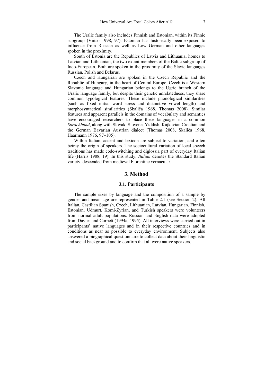The Uralic family also includes Finnish and Estonian, within its Finnic subgroup (Viitso 1998, 97). Estonian has historically been exposed to influence from Russian as well as Low German and other languages spoken in the proximity.

South of Estonia are the Republics of Latvia and Lithuania, homes to Latvian and Lithuanian, the two extant members of the Baltic subgroup of Indo-European. Both are spoken in the proximity of the Slavic languages Russian, Polish and Belarus.

Czech and Hungarian are spoken in the Czech Republic and the Republic of Hungary, in the heart of Central Europe. Czech is a Western Slavonic language and Hungarian belongs to the Ugric branch of the Uralic language family, but despite their genetic unrelatedness, they share common typological features. These include phonological similarities (such as fixed initial word stress and distinctive vowel length) and morphosyntactical similarities (Skaliča 1968, Thomas 2008). Similar features and apparent parallels in the domains of vocabulary and semantics have encouraged researchers to place these languages in a common *Sprachbund*, along with Slovak, Slovene, Yiddish, Kajkavian Croatian and the German Bavarian Austrian dialect (Thomas 2008, Skaliča 1968, Haarmann 1976, 97–105).

Within Italian, accent and lexicon are subject to variation, and often betray the origin of speakers. The sociocultural variation of local speech traditions has made code-switching and diglossia part of everyday Italian life (Harris 1988, 19). In this study, *Italian* denotes the Standard Italian variety, descended from medieval Florentine vernacular.

### **3. Method**

### **3.1. Participants**

The sample sizes by language and the composition of a sample by gender and mean age are represented in Table 2.1 (see Section 2). All Italian, Castilian Spanish, Czech, Lithuanian, Latvian, Hungarian, Finnish, Estonian, Udmurt, Komi-Zyrian, and Turkish speakers were volunteers from normal adult populations. Russian and English data were adopted from Davies and Corbett (1994a, 1995). All interviews were carried out in participants' native languages and in their respective countries and in conditions as near as possible to everyday environment. Subjects also answered a biographical questionnaire to collect data about their linguistic and social background and to confirm that all were native speakers.